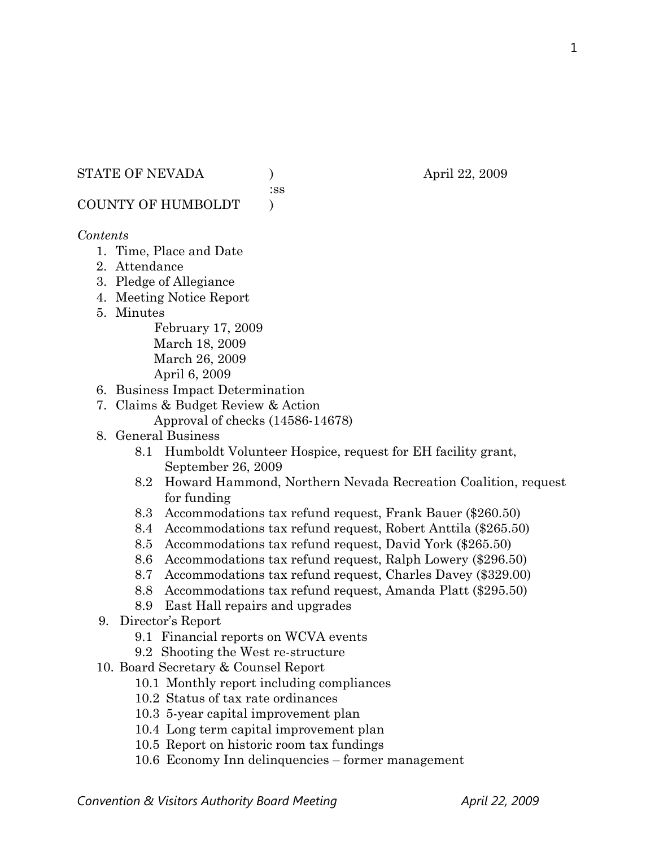STATE OF NEVADA (a) (b) april 22, 2009

:ss

COUNTY OF HUMBOLDT )

### *Contents*

- 1. Time, Place and Date
- 2. Attendance
- 3. Pledge of Allegiance
- 4. Meeting Notice Report
- 5. Minutes

February 17, 2009 March 18, 2009 March 26, 2009 April 6, 2009

- 6. Business Impact Determination
- 7. Claims & Budget Review & Action
	- Approval of checks (14586-14678)
- 8. General Business
	- 8.1 Humboldt Volunteer Hospice, request for EH facility grant, September 26, 2009
	- 8.2 Howard Hammond, Northern Nevada Recreation Coalition, request for funding
	- 8.3 Accommodations tax refund request, Frank Bauer (\$260.50)
	- 8.4 Accommodations tax refund request, Robert Anttila (\$265.50)
	- 8.5 Accommodations tax refund request, David York (\$265.50)
	- 8.6 Accommodations tax refund request, Ralph Lowery (\$296.50)
	- 8.7 Accommodations tax refund request, Charles Davey (\$329.00)
	- 8.8 Accommodations tax refund request, Amanda Platt (\$295.50)
	- 8.9 East Hall repairs and upgrades
- 9. Director's Report
	- 9.1 Financial reports on WCVA events
	- 9.2 Shooting the West re-structure
- 10. Board Secretary & Counsel Report
	- 10.1 Monthly report including compliances
	- 10.2 Status of tax rate ordinances
	- 10.3 5-year capital improvement plan
	- 10.4 Long term capital improvement plan
	- 10.5 Report on historic room tax fundings
	- 10.6 Economy Inn delinquencies former management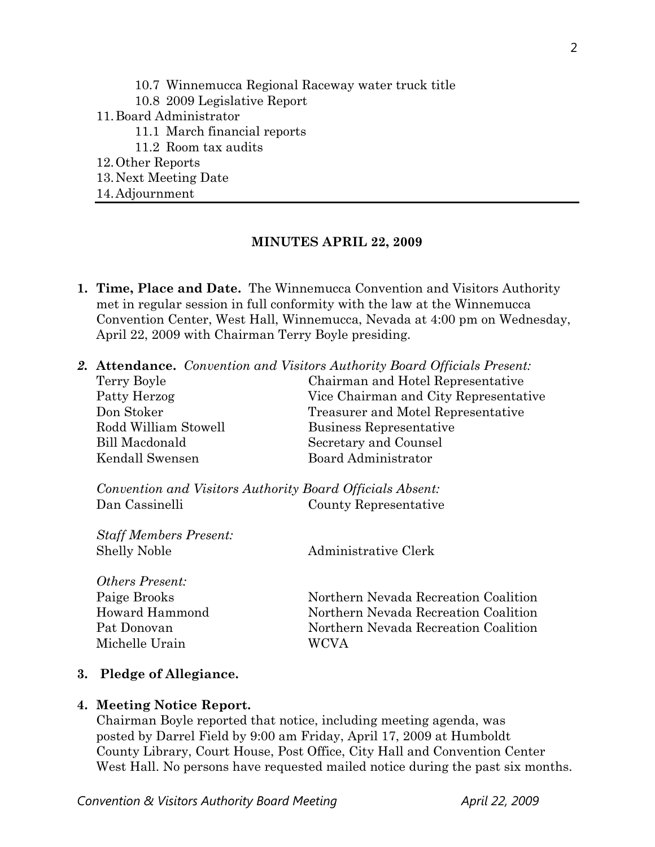10.7 Winnemucca Regional Raceway water truck title 10.8 2009 Legislative Report 11.Board Administrator 11.1 March financial reports 11.2 Room tax audits 12.Other Reports 13.Next Meeting Date

14.Adjournment

#### **MINUTES APRIL 22, 2009**

- **1. Time, Place and Date.** The Winnemucca Convention and Visitors Authority met in regular session in full conformity with the law at the Winnemucca Convention Center, West Hall, Winnemucca, Nevada at 4:00 pm on Wednesday, April 22, 2009 with Chairman Terry Boyle presiding.
- *2.* **Attendance.** *Convention and Visitors Authority Board Officials Present:*

| Terry Boyle                                               | Chairman and Hotel Representative     |
|-----------------------------------------------------------|---------------------------------------|
| Patty Herzog                                              | Vice Chairman and City Representative |
| Don Stoker                                                | Treasurer and Motel Representative    |
| Rodd William Stowell                                      | Business Representative               |
| Bill Macdonald                                            | Secretary and Counsel                 |
| Kendall Swensen                                           | Board Administrator                   |
| Convention and Visitors Authority Board Officials Absent: |                                       |
| Dan Cassinelli                                            | County Representative                 |
|                                                           |                                       |
| <b>Staff Members Present:</b>                             |                                       |
| <b>Shelly Noble</b>                                       | Administrative Clerk                  |
|                                                           |                                       |
| <i><b>Others Present:</b></i>                             |                                       |
| Paige Brooks                                              | Northern Nevada Recreation Coalition  |
| Howard Hammond                                            | Northern Nevada Recreation Coalition  |
| Pat Donovan                                               | Northern Nevada Recreation Coalition  |
| Michelle Urain                                            | WCVA                                  |
|                                                           |                                       |

# **3. Pledge of Allegiance.**

# **4. Meeting Notice Report.**

Chairman Boyle reported that notice, including meeting agenda, was posted by Darrel Field by 9:00 am Friday, April 17, 2009 at Humboldt County Library, Court House, Post Office, City Hall and Convention Center West Hall. No persons have requested mailed notice during the past six months.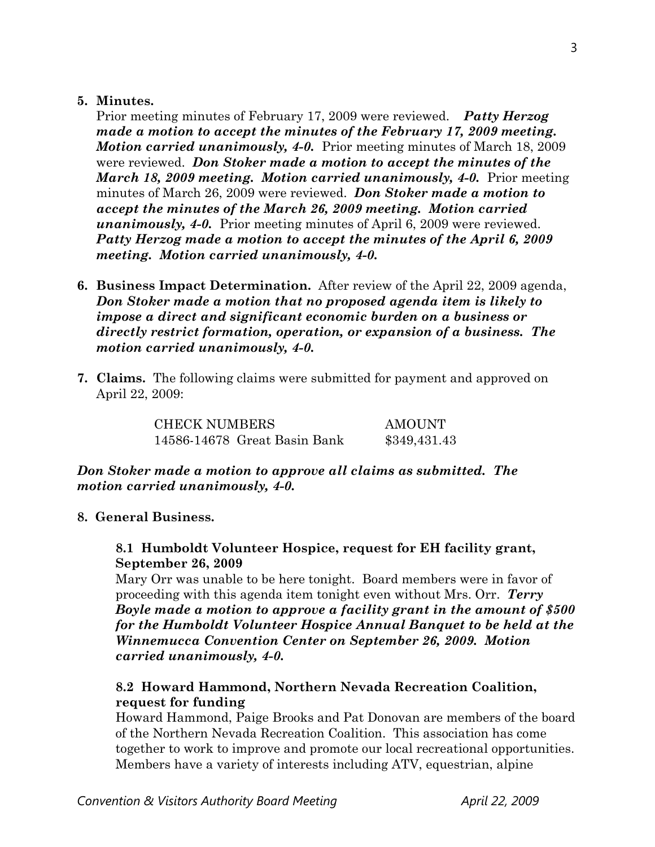### **5. Minutes.**

Prior meeting minutes of February 17, 2009 were reviewed. *Patty Herzog made a motion to accept the minutes of the February 17, 2009 meeting. Motion carried unanimously, 4-0.* Prior meeting minutes of March 18, 2009 were reviewed. *Don Stoker made a motion to accept the minutes of the March 18, 2009 meeting. Motion carried unanimously, 4-0.* Prior meeting minutes of March 26, 2009 were reviewed. *Don Stoker made a motion to accept the minutes of the March 26, 2009 meeting. Motion carried unanimously, 4-0.* Prior meeting minutes of April 6, 2009 were reviewed. *Patty Herzog made a motion to accept the minutes of the April 6, 2009 meeting. Motion carried unanimously, 4-0.* 

- **6. Business Impact Determination.** After review of the April 22, 2009 agenda, *Don Stoker made a motion that no proposed agenda item is likely to impose a direct and significant economic burden on a business or directly restrict formation, operation, or expansion of a business. The motion carried unanimously, 4-0.*
- **7. Claims.** The following claims were submitted for payment and approved on April 22, 2009:

CHECK NUMBERS AMOUNT 14586-14678 Great Basin Bank \$349,431.43

# *Don Stoker made a motion to approve all claims as submitted. The motion carried unanimously, 4-0.*

# **8. General Business.**

# **8.1 Humboldt Volunteer Hospice, request for EH facility grant, September 26, 2009**

Mary Orr was unable to be here tonight. Board members were in favor of proceeding with this agenda item tonight even without Mrs. Orr. *Terry Boyle made a motion to approve a facility grant in the amount of \$500 for the Humboldt Volunteer Hospice Annual Banquet to be held at the Winnemucca Convention Center on September 26, 2009. Motion carried unanimously, 4-0.*

# **8.2 Howard Hammond, Northern Nevada Recreation Coalition, request for funding**

Howard Hammond, Paige Brooks and Pat Donovan are members of the board of the Northern Nevada Recreation Coalition. This association has come together to work to improve and promote our local recreational opportunities. Members have a variety of interests including ATV, equestrian, alpine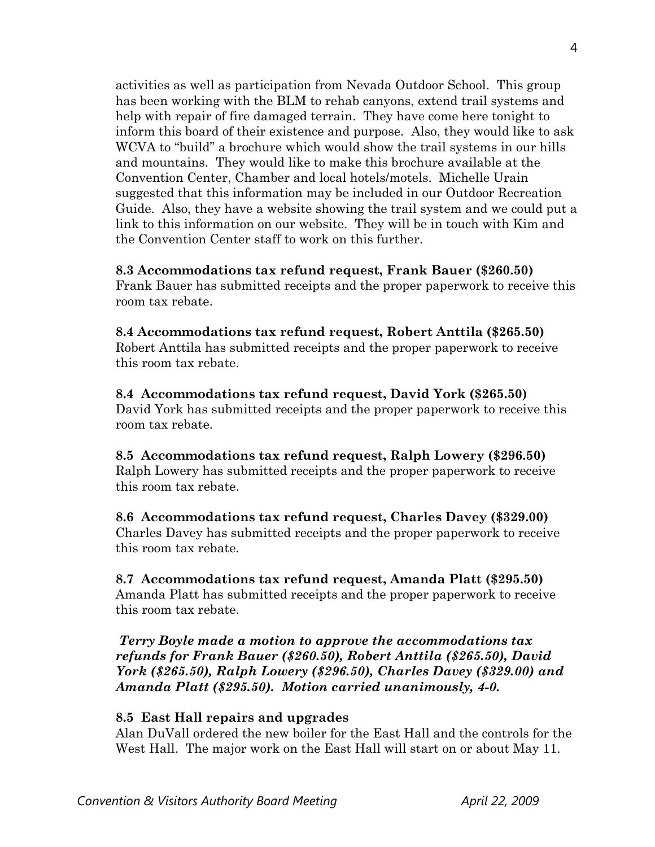activities as well as participation from Nevada Outdoor School. This group has been working with the BLM to rehab canyons, extend trail systems and help with repair of fire damaged terrain. They have come here tonight to inform this board of their existence and purpose. Also, they would like to ask WCVA to "build" a brochure which would show the trail systems in our hills and mountains. They would like to make this brochure available at the Convention Center, Chamber and local hotels/motels. Michelle Urain suggested that this information may be included in our Outdoor Recreation Guide. Also, they have a website showing the trail system and we could put a link to this information on our website. They will be in touch with Kim and the Convention Center staff to work on this further.

# **8.3 Accommodations tax refund request, Frank Bauer (\$260.50)**

Frank Bauer has submitted receipts and the proper paperwork to receive this room tax rebate.

**8.4 Accommodations tax refund request, Robert Anttila (\$265.50)**  Robert Anttila has submitted receipts and the proper paperwork to receive this room tax rebate.

**8.4 Accommodations tax refund request, David York (\$265.50)**  David York has submitted receipts and the proper paperwork to receive this room tax rebate.

**8.5 Accommodations tax refund request, Ralph Lowery (\$296.50)**  Ralph Lowery has submitted receipts and the proper paperwork to receive this room tax rebate.

**8.6 Accommodations tax refund request, Charles Davey (\$329.00)**  Charles Davey has submitted receipts and the proper paperwork to receive this room tax rebate.

**8.7 Accommodations tax refund request, Amanda Platt (\$295.50)**  Amanda Platt has submitted receipts and the proper paperwork to receive this room tax rebate.

*Terry Boyle made a motion to approve the accommodations tax refunds for Frank Bauer (\$260.50), Robert Anttila (\$265.50), David York (\$265.50), Ralph Lowery (\$296.50), Charles Davey (\$329.00) and Amanda Platt (\$295.50). Motion carried unanimously, 4-0.* 

# **8.5 East Hall repairs and upgrades**

Alan DuVall ordered the new boiler for the East Hall and the controls for the West Hall. The major work on the East Hall will start on or about May 11.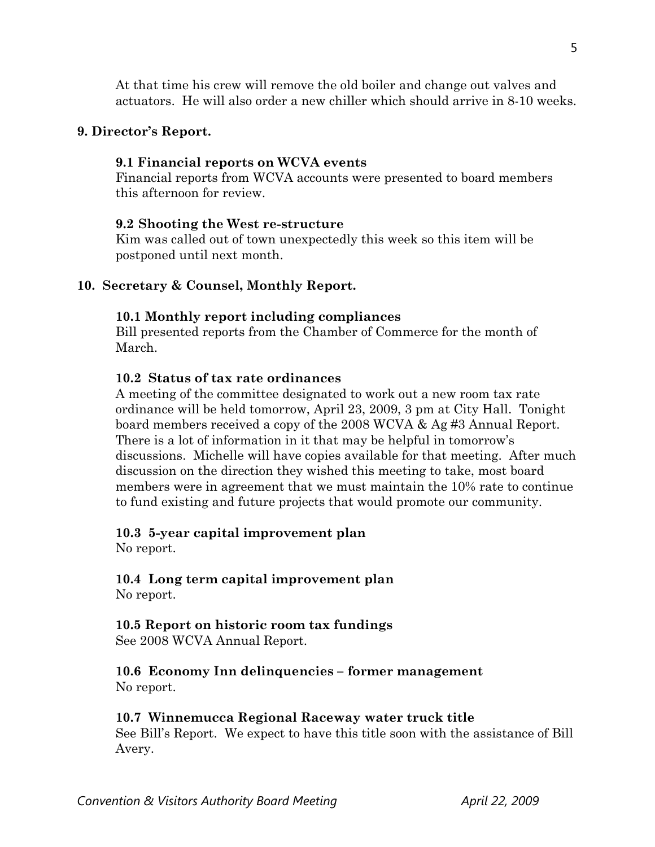At that time his crew will remove the old boiler and change out valves and actuators. He will also order a new chiller which should arrive in 8-10 weeks.

### **9. Director's Report.**

#### **9.1 Financial reports on WCVA events**

Financial reports from WCVA accounts were presented to board members this afternoon for review.

### **9.2 Shooting the West re-structure**

Kim was called out of town unexpectedly this week so this item will be postponed until next month.

# **10. Secretary & Counsel, Monthly Report.**

#### **10.1 Monthly report including compliances**

Bill presented reports from the Chamber of Commerce for the month of March.

# **10.2 Status of tax rate ordinances**

A meeting of the committee designated to work out a new room tax rate ordinance will be held tomorrow, April 23, 2009, 3 pm at City Hall. Tonight board members received a copy of the 2008 WCVA & Ag #3 Annual Report. There is a lot of information in it that may be helpful in tomorrow's discussions. Michelle will have copies available for that meeting. After much discussion on the direction they wished this meeting to take, most board members were in agreement that we must maintain the 10% rate to continue to fund existing and future projects that would promote our community.

#### **10.3 5-year capital improvement plan**

No report.

#### **10.4 Long term capital improvement plan** No report.

**10.5 Report on historic room tax fundings** 

See 2008 WCVA Annual Report.

**10.6 Economy Inn delinquencies – former management**  No report.

#### **10.7 Winnemucca Regional Raceway water truck title**

See Bill's Report. We expect to have this title soon with the assistance of Bill Avery.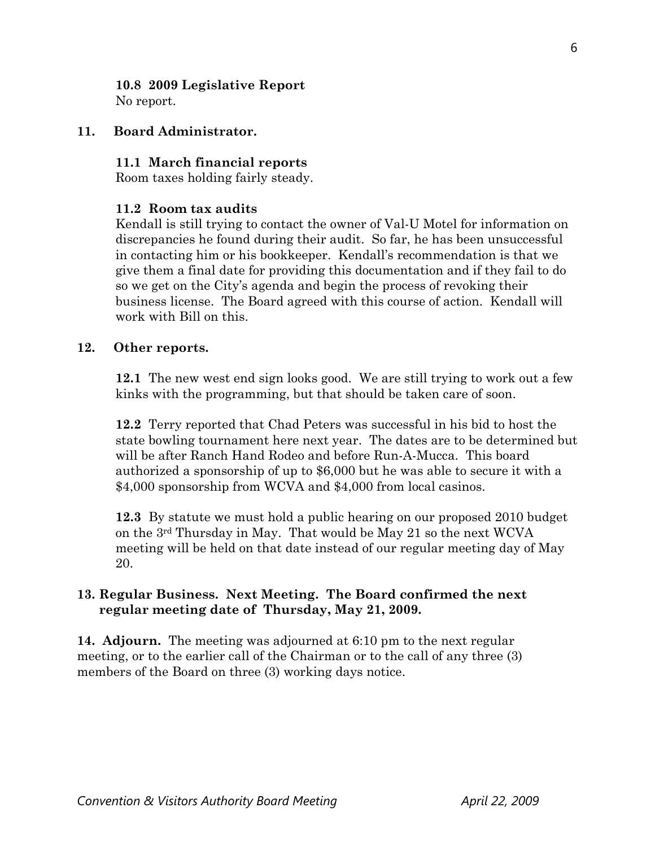#### **10.8 2009 Legislative Report**  No report.

### **11. Board Administrator.**

#### **11.1 March financial reports**

Room taxes holding fairly steady.

### **11.2 Room tax audits**

 Kendall is still trying to contact the owner of Val-U Motel for information on discrepancies he found during their audit. So far, he has been unsuccessful in contacting him or his bookkeeper. Kendall's recommendation is that we give them a final date for providing this documentation and if they fail to do so we get on the City's agenda and begin the process of revoking their business license. The Board agreed with this course of action. Kendall will work with Bill on this.

#### **12. Other reports.**

 **12.1** The new west end sign looks good. We are still trying to work out a few kinks with the programming, but that should be taken care of soon.

**12.2** Terry reported that Chad Peters was successful in his bid to host the state bowling tournament here next year. The dates are to be determined but will be after Ranch Hand Rodeo and before Run-A-Mucca. This board authorized a sponsorship of up to \$6,000 but he was able to secure it with a \$4,000 sponsorship from WCVA and \$4,000 from local casinos.

**12.3** By statute we must hold a public hearing on our proposed 2010 budget on the  $3<sup>rd</sup>$  Thursday in May. That would be May 21 so the next WCVA meeting will be held on that date instead of our regular meeting day of May 20.

# **13. Regular Business. Next Meeting. The Board confirmed the next regular meeting date of Thursday, May 21, 2009.**

**14. Adjourn.** The meeting was adjourned at 6:10 pm to the next regular meeting, or to the earlier call of the Chairman or to the call of any three (3) members of the Board on three (3) working days notice.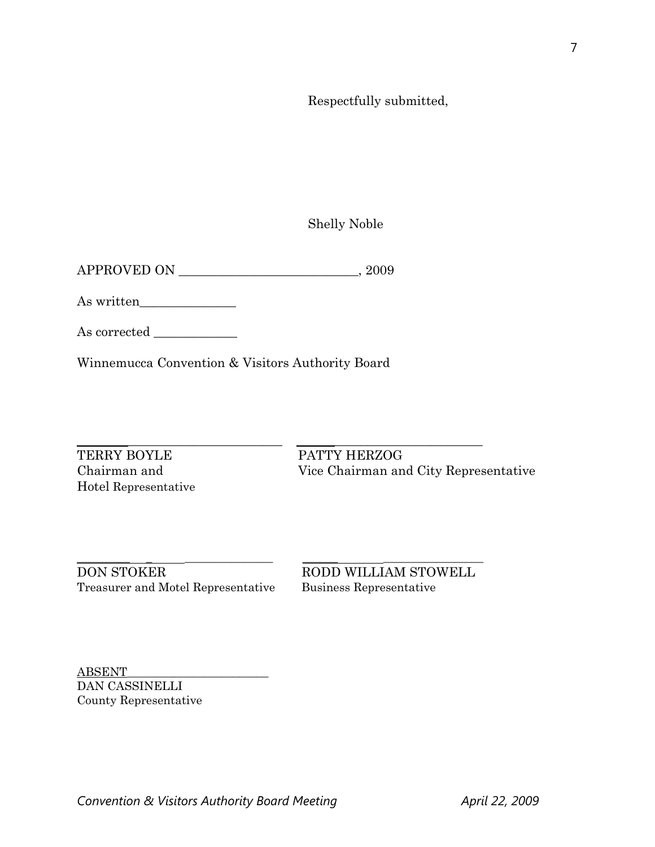Respectfully submitted,

Shelly Noble

APPROVED ON \_\_\_\_\_\_\_\_\_\_\_\_\_\_\_\_\_\_\_\_\_\_\_\_\_\_\_\_, 2009

As written\_\_\_\_\_\_\_\_\_\_\_\_\_\_\_

As corrected  $\_\_$ 

Winnemucca Convention & Visitors Authority Board

TERRY BOYLE PATTY HERZOG Hotel Representative

\_\_\_\_\_\_\_\_\_\_\_\_\_\_\_\_\_\_\_\_\_\_\_\_\_\_\_\_\_\_\_\_ \_\_\_\_\_\_\_\_\_\_\_\_\_\_\_\_\_\_\_\_\_\_\_\_\_\_\_\_\_ Chairman and Vice Chairman and City Representative

\_\_\_\_\_\_\_\_\_ \_ \_\_\_\_\_\_\_\_\_\_\_\_\_\_\_ \_\_\_\_\_\_ \_\_\_\_\_\_\_\_\_\_\_\_\_\_\_\_\_ DON STOKER RODD WILLIAM STOWELL Treasurer and Motel Representative Business Representative

ABSENT\_\_\_\_\_\_\_\_\_\_\_\_\_\_\_\_\_\_\_\_\_\_\_\_ DAN CASSINELLI County Representative 7